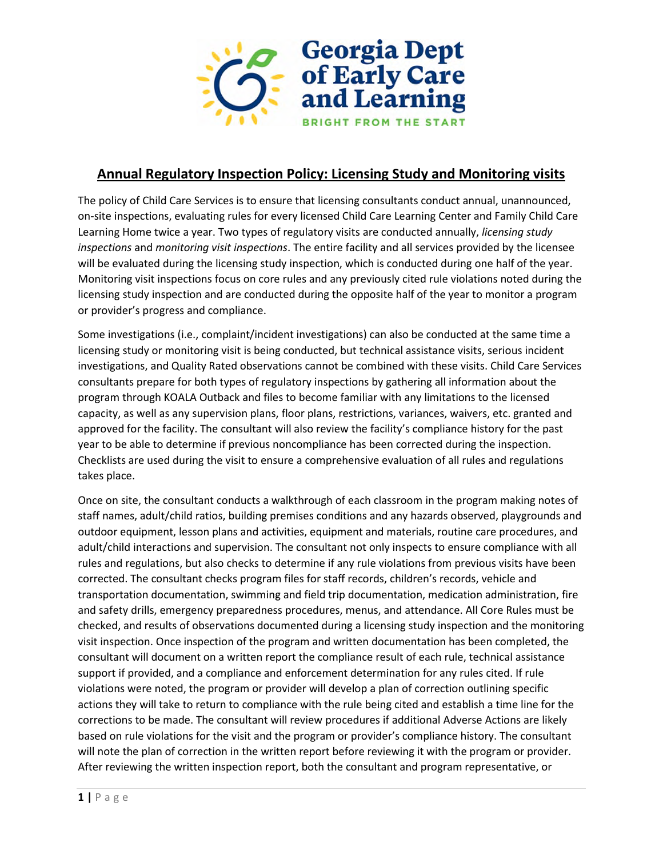

## **Annual Regulatory Inspection Policy: Licensing Study and Monitoring visits**

The policy of Child Care Services is to ensure that licensing consultants conduct annual, unannounced, on-site inspections, evaluating rules for every licensed Child Care Learning Center and Family Child Care Learning Home twice a year. Two types of regulatory visits are conducted annually, *licensing study inspections* and *monitoring visit inspections*. The entire facility and all services provided by the licensee will be evaluated during the licensing study inspection, which is conducted during one half of the year. Monitoring visit inspections focus on core rules and any previously cited rule violations noted during the licensing study inspection and are conducted during the opposite half of the year to monitor a program or provider's progress and compliance.

Some investigations (i.e., complaint/incident investigations) can also be conducted at the same time a licensing study or monitoring visit is being conducted, but technical assistance visits, serious incident investigations, and Quality Rated observations cannot be combined with these visits. Child Care Services consultants prepare for both types of regulatory inspections by gathering all information about the program through KOALA Outback and files to become familiar with any limitations to the licensed capacity, as well as any supervision plans, floor plans, restrictions, variances, waivers, etc. granted and approved for the facility. The consultant will also review the facility's compliance history for the past year to be able to determine if previous noncompliance has been corrected during the inspection. Checklists are used during the visit to ensure a comprehensive evaluation of all rules and regulations takes place.

Once on site, the consultant conducts a walkthrough of each classroom in the program making notes of staff names, adult/child ratios, building premises conditions and any hazards observed, playgrounds and outdoor equipment, lesson plans and activities, equipment and materials, routine care procedures, and adult/child interactions and supervision. The consultant not only inspects to ensure compliance with all rules and regulations, but also checks to determine if any rule violations from previous visits have been corrected. The consultant checks program files for staff records, children's records, vehicle and transportation documentation, swimming and field trip documentation, medication administration, fire and safety drills, emergency preparedness procedures, menus, and attendance. All Core Rules must be checked, and results of observations documented during a licensing study inspection and the monitoring visit inspection. Once inspection of the program and written documentation has been completed, the consultant will document on a written report the compliance result of each rule, technical assistance support if provided, and a compliance and enforcement determination for any rules cited. If rule violations were noted, the program or provider will develop a plan of correction outlining specific actions they will take to return to compliance with the rule being cited and establish a time line for the corrections to be made. The consultant will review procedures if additional Adverse Actions are likely based on rule violations for the visit and the program or provider's compliance history. The consultant will note the plan of correction in the written report before reviewing it with the program or provider. After reviewing the written inspection report, both the consultant and program representative, or